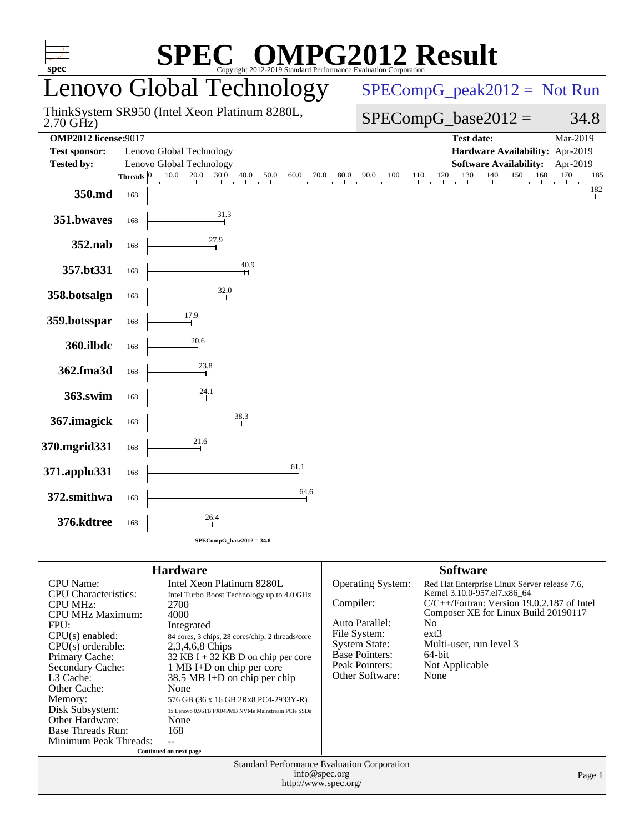| $spec^*$                        |              |                                                           | $\blacksquare$                                   | <b>PG2012 Result</b><br>Copyright 2012-2019 Standard Performance Evaluation Corporation |                                                                                       |                              |  |  |  |  |
|---------------------------------|--------------|-----------------------------------------------------------|--------------------------------------------------|-----------------------------------------------------------------------------------------|---------------------------------------------------------------------------------------|------------------------------|--|--|--|--|
|                                 |              |                                                           | Lenovo Global Technology                         |                                                                                         | $SPECompG_peak2012 = Not Run$<br>$SPECompG_base2012 =$<br>34.8                        |                              |  |  |  |  |
| $2.70$ GHz)                     |              | ThinkSystem SR950 (Intel Xeon Platinum 8280L,             |                                                  |                                                                                         |                                                                                       |                              |  |  |  |  |
| <b>OMP2012</b> license:9017     |              |                                                           |                                                  |                                                                                         | <b>Test date:</b>                                                                     | $\overline{\text{Mar-}2019}$ |  |  |  |  |
| <b>Test sponsor:</b>            |              | Lenovo Global Technology                                  |                                                  |                                                                                         | Hardware Availability: Apr-2019                                                       |                              |  |  |  |  |
| <b>Tested by:</b>               |              | Lenovo Global Technology                                  |                                                  |                                                                                         | <b>Software Availability:</b>                                                         | Apr-2019                     |  |  |  |  |
|                                 | Threads $ 0$ | 10.0<br>20.0<br>30.0                                      | 40.0<br>50.0<br>60.0<br>70.0                     | 80.0<br>90.0<br>100                                                                     | 130<br>120<br>140<br>110<br>150<br>160<br>. T. T                                      | 170<br>185                   |  |  |  |  |
| 350.md                          | 168          |                                                           |                                                  |                                                                                         | $\mathbf{1}$                                                                          | 182                          |  |  |  |  |
| 351.bwaves                      | 168          | 31.3                                                      |                                                  |                                                                                         |                                                                                       |                              |  |  |  |  |
| 352.nab                         | 168          | 27.9                                                      |                                                  |                                                                                         |                                                                                       |                              |  |  |  |  |
| 357.bt331                       | 168          |                                                           | 40.9<br>н                                        |                                                                                         |                                                                                       |                              |  |  |  |  |
| 358.botsalgn                    | 168          | 32.0                                                      |                                                  |                                                                                         |                                                                                       |                              |  |  |  |  |
| 359.botsspar                    | 168          | 17.9                                                      |                                                  |                                                                                         |                                                                                       |                              |  |  |  |  |
| 360.ilbdc                       | 168          | 20.6                                                      |                                                  |                                                                                         |                                                                                       |                              |  |  |  |  |
| 362.fma3d                       | 168          | 23.8                                                      |                                                  |                                                                                         |                                                                                       |                              |  |  |  |  |
| 363.swim                        | 168          | 24.1                                                      |                                                  |                                                                                         |                                                                                       |                              |  |  |  |  |
| 367.imagick                     | 168          |                                                           | 38.3                                             |                                                                                         |                                                                                       |                              |  |  |  |  |
| 370.mgrid331                    | 168          | 21.6                                                      |                                                  |                                                                                         |                                                                                       |                              |  |  |  |  |
| 371.applu331                    | 168          |                                                           | 61.1                                             |                                                                                         |                                                                                       |                              |  |  |  |  |
| 372.smithwa                     | 168          |                                                           | 64.6                                             |                                                                                         |                                                                                       |                              |  |  |  |  |
| 376.kdtree                      | 168          | 26.4                                                      |                                                  |                                                                                         |                                                                                       |                              |  |  |  |  |
|                                 |              |                                                           | $SPECompG_base2012 = 34.8$                       |                                                                                         |                                                                                       |                              |  |  |  |  |
|                                 |              | <b>Hardware</b>                                           |                                                  |                                                                                         | <b>Software</b>                                                                       |                              |  |  |  |  |
| <b>CPU</b> Name:                |              | Intel Xeon Platinum 8280L                                 |                                                  | Operating System:                                                                       | Red Hat Enterprise Linux Server release 7.6,                                          |                              |  |  |  |  |
| <b>CPU</b> Characteristics:     |              |                                                           | Intel Turbo Boost Technology up to 4.0 GHz       |                                                                                         | Kernel 3.10.0-957.el7.x86_64                                                          |                              |  |  |  |  |
| <b>CPU MHz:</b>                 |              | 2700<br>4000                                              |                                                  | Compiler:                                                                               | $C/C++/Fortran$ : Version 19.0.2.187 of Intel<br>Composer XE for Linux Build 20190117 |                              |  |  |  |  |
| <b>CPU MHz Maximum:</b><br>FPU: |              | Integrated                                                |                                                  | Auto Parallel:                                                                          | No                                                                                    |                              |  |  |  |  |
| $CPU(s)$ enabled:               |              |                                                           | 84 cores, 3 chips, 28 cores/chip, 2 threads/core | File System:                                                                            | $ext{3}$                                                                              |                              |  |  |  |  |
| $CPU(s)$ orderable:             |              | 2,3,4,6,8 Chips                                           |                                                  | <b>System State:</b>                                                                    | Multi-user, run level 3                                                               |                              |  |  |  |  |
| Primary Cache:                  |              |                                                           | $32$ KB I + 32 KB D on chip per core             | <b>Base Pointers:</b><br>Peak Pointers:                                                 | 64-bit<br>Not Applicable                                                              |                              |  |  |  |  |
| Secondary Cache:                |              | 1 MB I+D on chip per core<br>38.5 MB I+D on chip per chip |                                                  | Other Software:                                                                         | None                                                                                  |                              |  |  |  |  |
| L3 Cache:<br>Other Cache:       |              | None                                                      |                                                  |                                                                                         |                                                                                       |                              |  |  |  |  |

Page 1

Standard Performance Evaluation Corporation [info@spec.org](mailto:info@spec.org) <http://www.spec.org/>

**Continued on next page**

Memory: 576 GB<br>
Disk Subsystem: 576 GB<br> [Other Hardware:](http://www.spec.org/auto/omp2012/Docs/result-fields.html#OtherHardware) None<br>
Base Threads Run: 168

[Minimum Peak Threads:](http://www.spec.org/auto/omp2012/Docs/result-fields.html#MinimumPeakThreads) --

[Base Threads Run:](http://www.spec.org/auto/omp2012/Docs/result-fields.html#BaseThreadsRun)

576 GB (36 x 16 GB 2Rx8 PC4-2933Y-R) 1x Lenovo 0.96TB PX04PMB NVMe Mainstream PCIe SSDs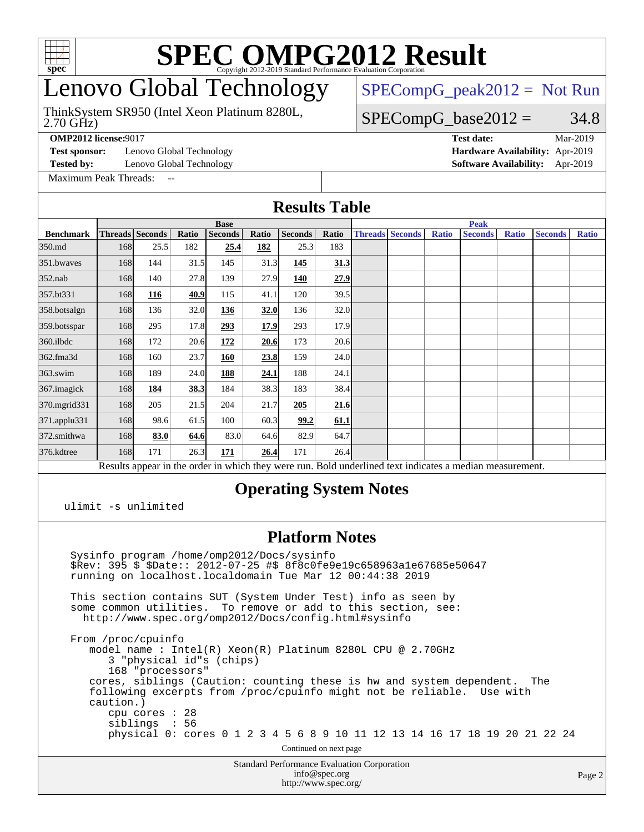

## enovo Global Technology

2.70 GHz) ThinkSystem SR950 (Intel Xeon Platinum 8280L,  $SPECompG_peak2012 = Not Run$  $SPECompG_peak2012 = Not Run$ 

#### $SPECompG_base2012 = 34.8$  $SPECompG_base2012 = 34.8$

**[OMP2012 license:](http://www.spec.org/auto/omp2012/Docs/result-fields.html#OMP2012license)**9017 **[Test date:](http://www.spec.org/auto/omp2012/Docs/result-fields.html#Testdate)** Mar-2019

**[Test sponsor:](http://www.spec.org/auto/omp2012/Docs/result-fields.html#Testsponsor)** Lenovo Global Technology **[Hardware Availability:](http://www.spec.org/auto/omp2012/Docs/result-fields.html#HardwareAvailability)** Apr-2019

**[Tested by:](http://www.spec.org/auto/omp2012/Docs/result-fields.html#Testedby)** Lenovo Global Technology **[Software Availability:](http://www.spec.org/auto/omp2012/Docs/result-fields.html#SoftwareAvailability)** Apr-2019

[Maximum Peak Threads:](http://www.spec.org/auto/omp2012/Docs/result-fields.html#MaximumPeakThreads)

**[Results Table](http://www.spec.org/auto/omp2012/Docs/result-fields.html#ResultsTable)**

|                                                                                                          | <b>Base</b>            |      |       |                |             |                |             | <b>Peak</b> |                        |              |                |              |                |              |
|----------------------------------------------------------------------------------------------------------|------------------------|------|-------|----------------|-------------|----------------|-------------|-------------|------------------------|--------------|----------------|--------------|----------------|--------------|
| <b>Benchmark</b>                                                                                         | <b>Threads</b> Seconds |      | Ratio | <b>Seconds</b> | Ratio       | <b>Seconds</b> | Ratio       |             | <b>Threads Seconds</b> | <b>Ratio</b> | <b>Seconds</b> | <b>Ratio</b> | <b>Seconds</b> | <b>Ratio</b> |
| 350.md                                                                                                   | 168                    | 25.5 | 182   | 25.4           | 182         | 25.3           | 183         |             |                        |              |                |              |                |              |
| 351.bwayes                                                                                               | 168                    | 144  | 31.5  | 145            | 31.3        | 145            | <u>31.3</u> |             |                        |              |                |              |                |              |
| $352$ .nab                                                                                               | 168                    | 140  | 27.8  | 139            | 27.9        | 140            | 27.9        |             |                        |              |                |              |                |              |
| 357.bt331                                                                                                | 168                    | 116  | 40.9  | 115            | 41.1        | 120            | 39.5        |             |                        |              |                |              |                |              |
| 358.botsalgn                                                                                             | 168                    | 136  | 32.0  | 136            | 32.0        | 136            | 32.0        |             |                        |              |                |              |                |              |
| 359.botsspar                                                                                             | 168                    | 295  | 17.8  | 293            | 17.9        | 293            | 17.9        |             |                        |              |                |              |                |              |
| $360$ .ilbdc                                                                                             | 168                    | 172  | 20.6  | 172            | 20.6        | 173            | 20.6        |             |                        |              |                |              |                |              |
| 362.fma3d                                                                                                | 168                    | 160  | 23.7  | 160            | 23.8        | 159            | 24.0        |             |                        |              |                |              |                |              |
| $363$ .swim                                                                                              | 168                    | 189  | 24.0  | 188            | <u>24.1</u> | 188            | 24.1        |             |                        |              |                |              |                |              |
| 367. imagick                                                                                             | 168                    | 184  | 38.3  | 184            | 38.3        | 183            | 38.4        |             |                        |              |                |              |                |              |
| 370.mgrid331                                                                                             | 168                    | 205  | 21.5  | 204            | 21.7        | 205            | 21.6        |             |                        |              |                |              |                |              |
| 371.applu331                                                                                             | 168                    | 98.6 | 61.5  | 100            | 60.3        | 99.2           | 61.1        |             |                        |              |                |              |                |              |
| 372.smithwa                                                                                              | 168                    | 83.0 | 64.6  | 83.0           | 64.6        | 82.9           | 64.7        |             |                        |              |                |              |                |              |
| 376.kdtree                                                                                               | 168                    | 171  | 26.3  | 171            | 26.4        | 171            | 26.4        |             |                        |              |                |              |                |              |
| Results appear in the order in which they were run. Bold underlined text indicates a median measurement. |                        |      |       |                |             |                |             |             |                        |              |                |              |                |              |
| <b>Operating System Notes</b><br>$m + m + m + m$                                                         |                        |      |       |                |             |                |             |             |                        |              |                |              |                |              |

ulimit -s unlimited

#### **[Platform Notes](http://www.spec.org/auto/omp2012/Docs/result-fields.html#PlatformNotes)**

 Sysinfo program /home/omp2012/Docs/sysinfo \$Rev: 395 \$ \$Date:: 2012-07-25 #\$ 8f8c0fe9e19c658963a1e67685e50647 running on localhost.localdomain Tue Mar 12 00:44:38 2019

 This section contains SUT (System Under Test) info as seen by some common utilities. To remove or add to this section, see: <http://www.spec.org/omp2012/Docs/config.html#sysinfo>

 From /proc/cpuinfo model name : Intel(R) Xeon(R) Platinum 8280L CPU @ 2.70GHz 3 "physical id"s (chips) 168 "processors" cores, siblings (Caution: counting these is hw and system dependent. The following excerpts from /proc/cpuinfo might not be reliable. Use with caution.) cpu cores : 28 siblings : 56 physical 0: cores 0 1 2 3 4 5 6 8 9 10 11 12 13 14 16 17 18 19 20 21 22 24 Continued on next page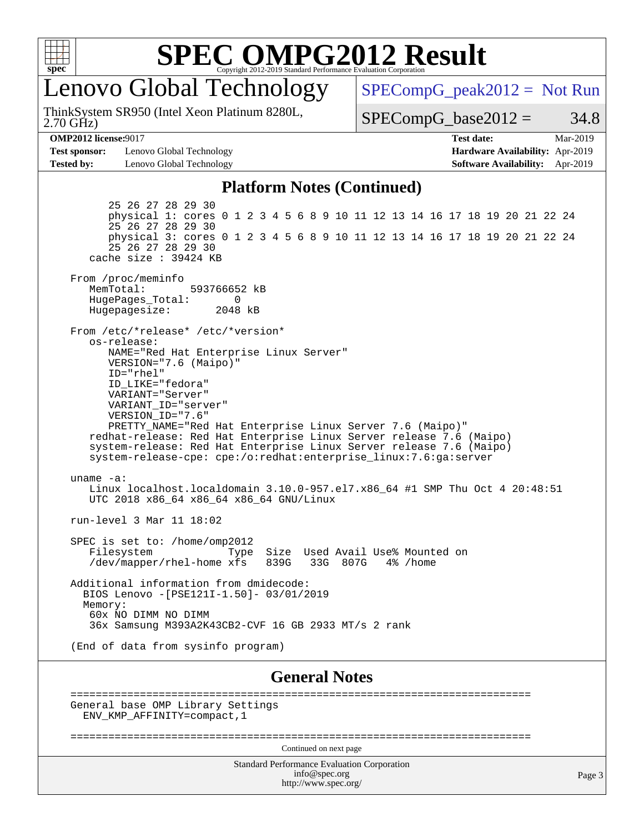

enovo Global Technology

2.70 GHz) ThinkSystem SR950 (Intel Xeon Platinum 8280L,  $SPECompG_peak2012 = Not Run$  $SPECompG_peak2012 = Not Run$ 

 $SPECompG_base2012 = 34.8$  $SPECompG_base2012 = 34.8$ 

**[Test sponsor:](http://www.spec.org/auto/omp2012/Docs/result-fields.html#Testsponsor)** Lenovo Global Technology **[Hardware Availability:](http://www.spec.org/auto/omp2012/Docs/result-fields.html#HardwareAvailability)** Apr-2019 **[Tested by:](http://www.spec.org/auto/omp2012/Docs/result-fields.html#Testedby)** Lenovo Global Technology **[Software Availability:](http://www.spec.org/auto/omp2012/Docs/result-fields.html#SoftwareAvailability)** Apr-2019

**[OMP2012 license:](http://www.spec.org/auto/omp2012/Docs/result-fields.html#OMP2012license)**9017 **[Test date:](http://www.spec.org/auto/omp2012/Docs/result-fields.html#Testdate)** Mar-2019

#### **[Platform Notes \(Continued\)](http://www.spec.org/auto/omp2012/Docs/result-fields.html#PlatformNotes)**

 25 26 27 28 29 30 physical 1: cores 0 1 2 3 4 5 6 8 9 10 11 12 13 14 16 17 18 19 20 21 22 24 25 26 27 28 29 30 physical 3: cores 0 1 2 3 4 5 6 8 9 10 11 12 13 14 16 17 18 19 20 21 22 24 25 26 27 28 29 30 cache size : 39424 KB From /proc/meminfo MemTotal: 593766652 kB HugePages\_Total: 0<br>Hugepagesize: 2048 kB Hugepagesize: From /etc/\*release\* /etc/\*version\* os-release: NAME="Red Hat Enterprise Linux Server" VERSION="7.6 (Maipo)" ID="rhel" ID\_LIKE="fedora" VARIANT="Server" VARIANT\_ID="server" VERSION\_ID="7.6" PRETTY\_NAME="Red Hat Enterprise Linux Server 7.6 (Maipo)" redhat-release: Red Hat Enterprise Linux Server release 7.6 (Maipo) system-release: Red Hat Enterprise Linux Server release 7.6 (Maipo) system-release-cpe: cpe:/o:redhat:enterprise\_linux:7.6:ga:server uname -a: Linux localhost.localdomain 3.10.0-957.el7.x86\_64 #1 SMP Thu Oct 4 20:48:51 UTC 2018 x86\_64 x86\_64 x86\_64 GNU/Linux run-level 3 Mar 11 18:02 SPEC is set to: /home/omp2012 Filesystem Type Size Used Avail Use% Mounted on<br>
/dev/mapper/rhel-home xfs 839G 33G 807G 4% /home  $/\text{dev/mapper/rhel-home xfs}$  839G Additional information from dmidecode: BIOS Lenovo -[PSE121I-1.50]- 03/01/2019 Memory: 60x NO DIMM NO DIMM 36x Samsung M393A2K43CB2-CVF 16 GB 2933 MT/s 2 rank (End of data from sysinfo program)

**[General Notes](http://www.spec.org/auto/omp2012/Docs/result-fields.html#GeneralNotes)**

 ========================================================================= General base OMP Library Settings ENV\_KMP\_AFFINITY=compact,1

=========================================================================

Continued on next page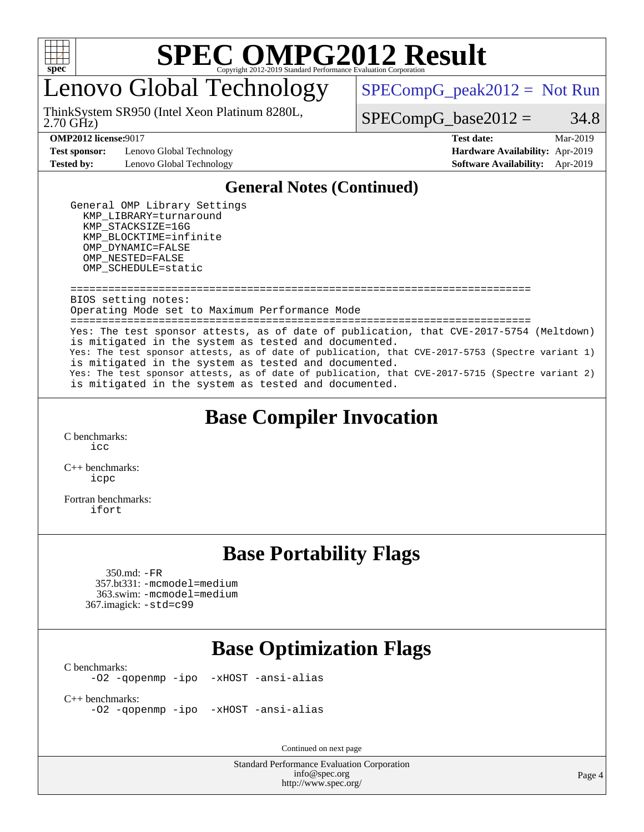

enovo Global Technology

2.70 GHz) ThinkSystem SR950 (Intel Xeon Platinum 8280L,  $SPECompG_peak2012 = Not Run$  $SPECompG_peak2012 = Not Run$ 

 $SPECompG_base2012 = 34.8$  $SPECompG_base2012 = 34.8$ 

**[Test sponsor:](http://www.spec.org/auto/omp2012/Docs/result-fields.html#Testsponsor)** Lenovo Global Technology **[Hardware Availability:](http://www.spec.org/auto/omp2012/Docs/result-fields.html#HardwareAvailability)** Apr-2019

**[OMP2012 license:](http://www.spec.org/auto/omp2012/Docs/result-fields.html#OMP2012license)**9017 **[Test date:](http://www.spec.org/auto/omp2012/Docs/result-fields.html#Testdate)** Mar-2019 **[Tested by:](http://www.spec.org/auto/omp2012/Docs/result-fields.html#Testedby)** Lenovo Global Technology **[Software Availability:](http://www.spec.org/auto/omp2012/Docs/result-fields.html#SoftwareAvailability)** Apr-2019

#### **[General Notes \(Continued\)](http://www.spec.org/auto/omp2012/Docs/result-fields.html#GeneralNotes)**

 General OMP Library Settings KMP\_LIBRARY=turnaround KMP\_STACKSIZE=16G KMP\_BLOCKTIME=infinite OMP\_DYNAMIC=FALSE OMP\_NESTED=FALSE OMP\_SCHEDULE=static

 ========================================================================= BIOS setting notes: Operating Mode set to Maximum Performance Mode =========================================================================

 Yes: The test sponsor attests, as of date of publication, that CVE-2017-5754 (Meltdown) is mitigated in the system as tested and documented. Yes: The test sponsor attests, as of date of publication, that CVE-2017-5753 (Spectre variant 1) is mitigated in the system as tested and documented. Yes: The test sponsor attests, as of date of publication, that CVE-2017-5715 (Spectre variant 2) is mitigated in the system as tested and documented.

### **[Base Compiler Invocation](http://www.spec.org/auto/omp2012/Docs/result-fields.html#BaseCompilerInvocation)**

[C benchmarks](http://www.spec.org/auto/omp2012/Docs/result-fields.html#Cbenchmarks): [icc](http://www.spec.org/omp2012/results/res2019q2/omp2012-20190312-00163.flags.html#user_CCbase_intel_icc_a87c68a857bc5ec5362391a49d3a37a6)

[C++ benchmarks:](http://www.spec.org/auto/omp2012/Docs/result-fields.html#CXXbenchmarks) [icpc](http://www.spec.org/omp2012/results/res2019q2/omp2012-20190312-00163.flags.html#user_CXXbase_intel_icpc_2d899f8d163502b12eb4a60069f80c1c)

[Fortran benchmarks](http://www.spec.org/auto/omp2012/Docs/result-fields.html#Fortranbenchmarks): [ifort](http://www.spec.org/omp2012/results/res2019q2/omp2012-20190312-00163.flags.html#user_FCbase_intel_ifort_8a5e5e06b19a251bdeaf8fdab5d62f20)

### **[Base Portability Flags](http://www.spec.org/auto/omp2012/Docs/result-fields.html#BasePortabilityFlags)**

 350.md: [-FR](http://www.spec.org/omp2012/results/res2019q2/omp2012-20190312-00163.flags.html#user_baseFPORTABILITY350_md_f-FR) 357.bt331: [-mcmodel=medium](http://www.spec.org/omp2012/results/res2019q2/omp2012-20190312-00163.flags.html#user_basePORTABILITY357_bt331_f-mcmodel_3a41622424bdd074c4f0f2d2f224c7e5) 363.swim: [-mcmodel=medium](http://www.spec.org/omp2012/results/res2019q2/omp2012-20190312-00163.flags.html#user_basePORTABILITY363_swim_f-mcmodel_3a41622424bdd074c4f0f2d2f224c7e5) 367.imagick: [-std=c99](http://www.spec.org/omp2012/results/res2019q2/omp2012-20190312-00163.flags.html#user_baseCPORTABILITY367_imagick_f-std_2ec6533b6e06f1c4a6c9b78d9e9cde24)

### **[Base Optimization Flags](http://www.spec.org/auto/omp2012/Docs/result-fields.html#BaseOptimizationFlags)**

[C benchmarks](http://www.spec.org/auto/omp2012/Docs/result-fields.html#Cbenchmarks):

[-O2](http://www.spec.org/omp2012/results/res2019q2/omp2012-20190312-00163.flags.html#user_CCbase_f-O2) [-qopenmp](http://www.spec.org/omp2012/results/res2019q2/omp2012-20190312-00163.flags.html#user_CCbase_f-qopenmp) [-ipo](http://www.spec.org/omp2012/results/res2019q2/omp2012-20190312-00163.flags.html#user_CCbase_f-ipo_84062ab53814f613187d02344b8f49a7) [-xHOST](http://www.spec.org/omp2012/results/res2019q2/omp2012-20190312-00163.flags.html#user_CCbase_f-xHOST) [-ansi-alias](http://www.spec.org/omp2012/results/res2019q2/omp2012-20190312-00163.flags.html#user_CCbase_f-ansi-alias)

[C++ benchmarks:](http://www.spec.org/auto/omp2012/Docs/result-fields.html#CXXbenchmarks) [-O2](http://www.spec.org/omp2012/results/res2019q2/omp2012-20190312-00163.flags.html#user_CXXbase_f-O2) [-qopenmp](http://www.spec.org/omp2012/results/res2019q2/omp2012-20190312-00163.flags.html#user_CXXbase_f-qopenmp) [-ipo](http://www.spec.org/omp2012/results/res2019q2/omp2012-20190312-00163.flags.html#user_CXXbase_f-ipo_84062ab53814f613187d02344b8f49a7) [-xHOST](http://www.spec.org/omp2012/results/res2019q2/omp2012-20190312-00163.flags.html#user_CXXbase_f-xHOST) [-ansi-alias](http://www.spec.org/omp2012/results/res2019q2/omp2012-20190312-00163.flags.html#user_CXXbase_f-ansi-alias)

Continued on next page